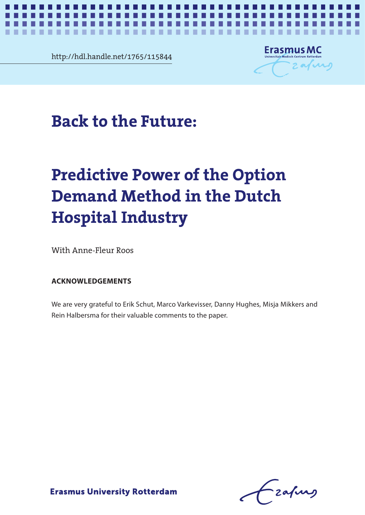

ш



 $\blacksquare$ . .  $\blacksquare$ 

*Back to the Future* **1**

# Back to the Future: **Back to the Future:**

# **Demand Method in the Dutch ACKNOWLEDGEMENTS Hospital Industry Predictive Power of the Option**

With Anne-Fleur Roos was also varied to earning the Mikkers and Mikkers and Mikkers and Mikkers and Mikkers and Mi

## **ACKNOWLEDGEMENTS**

We are very grateful to Erik Schut, Marco Varkevisser, Danny Hughes, Misja Mikkers and Rein Halbersma for their valuable comments to the paper.

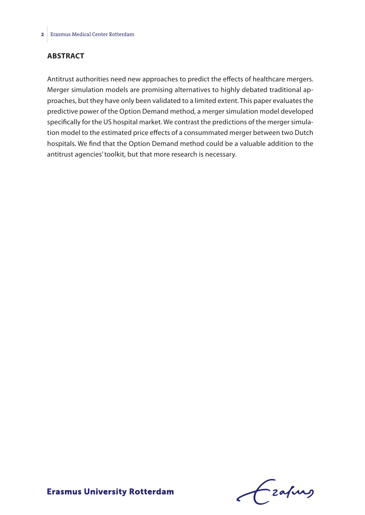## **ABSTRACT**

Antitrust authorities need new approaches to predict the effects of healthcare mergers. Merger simulation models are promising alternatives to highly debated traditional approaches, but they have only been validated to a limited extent. This paper evaluates the predictive power of the Option Demand method, a merger simulation model developed specifically for the US hospital market. We contrast the predictions of the merger simulation model to the estimated price effects of a consummated merger between two Dutch hospitals. We find that the Option Demand method could be a valuable addition to the antitrust agencies' toolkit, but that more research is necessary.

Frafing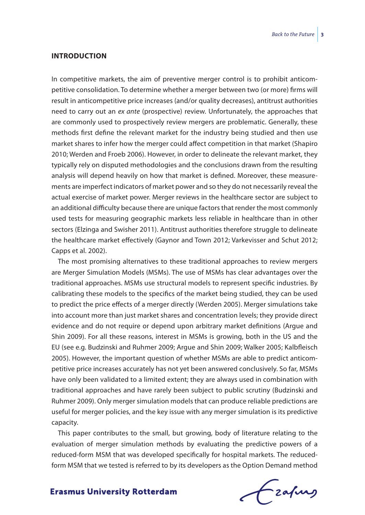## **INTRODUCTION**

In competitive markets, the aim of preventive merger control is to prohibit anticompetitive consolidation. To determine whether a merger between two (or more) firms will result in anticompetitive price increases (and/or quality decreases), antitrust authorities need to carry out an *ex ante* (prospective) review. Unfortunately, the approaches that are commonly used to prospectively review mergers are problematic. Generally, these methods first define the relevant market for the industry being studied and then use market shares to infer how the merger could affect competition in that market (Shapiro 2010; Werden and Froeb 2006). However, in order to delineate the relevant market, they typically rely on disputed methodologies and the conclusions drawn from the resulting analysis will depend heavily on how that market is defined. Moreover, these measurements are imperfect indicators of market power and so they do not necessarily reveal the actual exercise of market power. Merger reviews in the healthcare sector are subject to an additional difficulty because there are unique factors that render the most commonly used tests for measuring geographic markets less reliable in healthcare than in other sectors (Elzinga and Swisher 2011). Antitrust authorities therefore struggle to delineate the healthcare market effectively (Gaynor and Town 2012; Varkevisser and Schut 2012; Capps et al. 2002).

The most promising alternatives to these traditional approaches to review mergers are Merger Simulation Models (MSMs). The use of MSMs has clear advantages over the traditional approaches. MSMs use structural models to represent specific industries. By calibrating these models to the specifics of the market being studied, they can be used to predict the price effects of a merger directly (Werden 2005). Merger simulations take into account more than just market shares and concentration levels; they provide direct evidence and do not require or depend upon arbitrary market definitions (Argue and Shin 2009). For all these reasons, interest in MSMs is growing, both in the US and the EU (see e.g. Budzinski and Ruhmer 2009; Argue and Shin 2009; Walker 2005; Kalbfleisch 2005). However, the important question of whether MSMs are able to predict anticompetitive price increases accurately has not yet been answered conclusively. So far, MSMs have only been validated to a limited extent; they are always used in combination with traditional approaches and have rarely been subject to public scrutiny (Budzinski and Ruhmer 2009). Only merger simulation models that can produce reliable predictions are useful for merger policies, and the key issue with any merger simulation is its predictive capacity.

This paper contributes to the small, but growing, body of literature relating to the evaluation of merger simulation methods by evaluating the predictive powers of a reduced-form MSM that was developed specifically for hospital markets. The reducedform MSM that we tested is referred to by its developers as the Option Demand method

frafing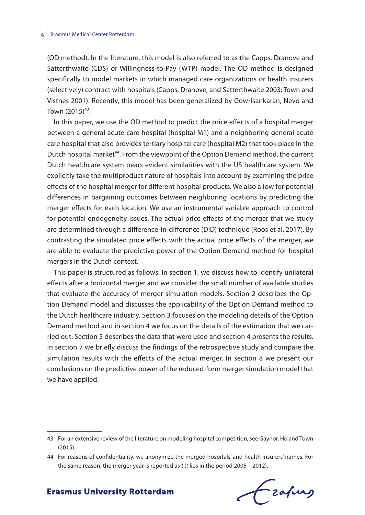(OD method). In the literature, this model is also referred to as the Capps, Dranove and Satterthwaite (CDS) or Willingness-to-Pay (WTP) model. The OD method is designed specifically to model markets in which managed care organizations or health insurers (selectively) contract with hospitals (Capps, Dranove, and Satterthwaite 2003; Town and Vistnes 2001). Recently, this model has been generalized by Gowrisankaran, Nevo and Town  $(2015)^{43}$ .

In this paper, we use the OD method to predict the price effects of a hospital merger between a general acute care hospital (hospital M1) and a neighboring general acute care hospital that also provides tertiary hospital care (hospital M2) that took place in the Dutch hospital market<sup>44</sup>. From the viewpoint of the Option Demand method, the current Dutch healthcare system bears evident similarities with the US healthcare system. We explicitly take the multiproduct nature of hospitals into account by examining the price effects of the hospital merger for different hospital products. We also allow for potential differences in bargaining outcomes between neighboring locations by predicting the merger effects for each location. We use an instrumental variable approach to control for potential endogeneity issues. The actual price effects of the merger that we study are determined through a difference-in-difference (DiD) technique (Roos et al. 2017). By contrasting the simulated price effects with the actual price effects of the merger, we are able to evaluate the predictive power of the Option Demand method for hospital mergers in the Dutch context.

This paper is structured as follows. In section 1, we discuss how to identify unilateral effects after a horizontal merger and we consider the small number of available studies that evaluate the accuracy of merger simulation models. Section 2 describes the Option Demand model and discusses the applicability of the Option Demand method to the Dutch healthcare industry. Section 3 focuses on the modeling details of the Option Demand method and in section 4 we focus on the details of the estimation that we carried out. Section 5 describes the data that were used and section 4 presents the results. In section 7 we briefly discuss the findings of the retrospective study and compare the simulation results with the effects of the actual merger. In section 8 we present our conclusions on the predictive power of the reduced-form merger simulation model that we have applied.

Frahing

<sup>43</sup> For an extensive review of the literature on modeling hospital competition, see Gaynor, Ho and Town (2015).

<sup>44</sup> For reasons of confidentiality, we anonymize the merged hospitals' and health insurers' names. For the same reason, the merger year is reported as *t* (*t* lies in the period 2005 – 2012).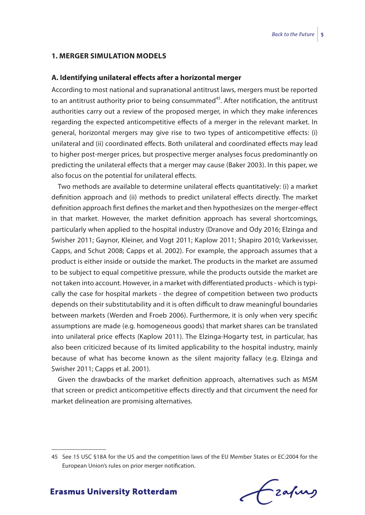#### **1. MERGER SIMULATION MODELS**

#### **A. Identifying unilateral effects after a horizontal merger**

According to most national and supranational antitrust laws, mergers must be reported to an antitrust authority prior to being consummated $45$ . After notification, the antitrust authorities carry out a review of the proposed merger, in which they make inferences regarding the expected anticompetitive effects of a merger in the relevant market. In general, horizontal mergers may give rise to two types of anticompetitive effects: (i) unilateral and (ii) coordinated effects. Both unilateral and coordinated effects may lead to higher post-merger prices, but prospective merger analyses focus predominantly on predicting the unilateral effects that a merger may cause (Baker 2003). In this paper, we also focus on the potential for unilateral effects.

Two methods are available to determine unilateral effects quantitatively: (i) a market definition approach and (ii) methods to predict unilateral effects directly. The market definition approach first defines the market and then hypothesizes on the merger-effect in that market. However, the market definition approach has several shortcomings, particularly when applied to the hospital industry (Dranove and Ody 2016; Elzinga and Swisher 2011; Gaynor, Kleiner, and Vogt 2011; Kaplow 2011; Shapiro 2010; Varkevisser, Capps, and Schut 2008; Capps et al. 2002). For example, the approach assumes that a product is either inside or outside the market. The products in the market are assumed to be subject to equal competitive pressure, while the products outside the market are not taken into account. However, in a market with differentiated products - which is typically the case for hospital markets - the degree of competition between two products depends on their substitutability and it is often difficult to draw meaningful boundaries between markets (Werden and Froeb 2006). Furthermore, it is only when very specific assumptions are made (e.g. homogeneous goods) that market shares can be translated into unilateral price effects (Kaplow 2011). The Elzinga-Hogarty test, in particular, has also been criticized because of its limited applicability to the hospital industry, mainly because of what has become known as the silent majority fallacy (e.g. Elzinga and Swisher 2011; Capps et al. 2001).

Given the drawbacks of the market definition approach, alternatives such as MSM that screen or predict anticompetitive effects directly and that circumvent the need for market delineation are promising alternatives.

<sup>45</sup> See 15 USC §18A for the US and the competition laws of the EU Member States or EC:2004 for the European Union's rules on prior merger notification.

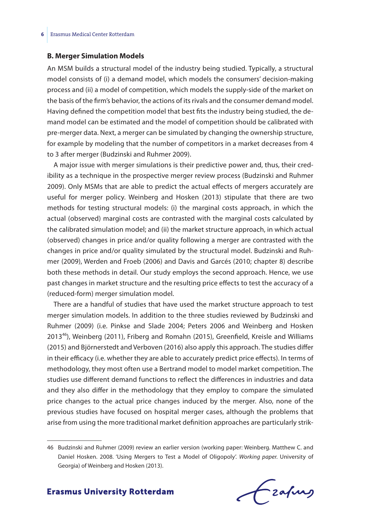## **B. Merger Simulation Models**

An MSM builds a structural model of the industry being studied. Typically, a structural model consists of (i) a demand model, which models the consumers' decision-making process and (ii) a model of competition, which models the supply-side of the market on the basis of the firm's behavior, the actions of its rivals and the consumer demand model. Having defined the competition model that best fits the industry being studied, the demand model can be estimated and the model of competition should be calibrated with pre-merger data. Next, a merger can be simulated by changing the ownership structure, for example by modeling that the number of competitors in a market decreases from 4 to 3 after merger (Budzinski and Ruhmer 2009).

A major issue with merger simulations is their predictive power and, thus, their credibility as a technique in the prospective merger review process (Budzinski and Ruhmer 2009). Only MSMs that are able to predict the actual effects of mergers accurately are useful for merger policy. Weinberg and Hosken (2013) stipulate that there are two methods for testing structural models: (i) the marginal costs approach, in which the actual (observed) marginal costs are contrasted with the marginal costs calculated by the calibrated simulation model; and (ii) the market structure approach, in which actual (observed) changes in price and/or quality following a merger are contrasted with the changes in price and/or quality simulated by the structural model. Budzinski and Ruhmer (2009), Werden and Froeb (2006) and Davis and Garcés (2010; chapter 8) describe both these methods in detail. Our study employs the second approach. Hence, we use past changes in market structure and the resulting price effects to test the accuracy of a (reduced-form) merger simulation model.

There are a handful of studies that have used the market structure approach to test merger simulation models. In addition to the three studies reviewed by Budzinski and Ruhmer (2009) (i.e. Pinkse and Slade 2004; Peters 2006 and Weinberg and Hosken 2013<sup>46</sup>), Weinberg (2011), Friberg and Romahn (2015), Greenfield, Kreisle and Williams (2015) and Björnerstedt and Verboven (2016) also apply this approach. The studies differ in their efficacy (i.e. whether they are able to accurately predict price effects). In terms of methodology, they most often use a Bertrand model to model market competition. The studies use different demand functions to reflect the differences in industries and data and they also differ in the methodology that they employ to compare the simulated price changes to the actual price changes induced by the merger. Also, none of the previous studies have focused on hospital merger cases, although the problems that arise from using the more traditional market definition approaches are particularly strik-

frafing

<sup>46</sup> Budzinski and Ruhmer (2009) review an earlier version (working paper: Weinberg. Matthew C. and Daniel Hosken. 2008. 'Using Mergers to Test a Model of Oligopoly'. *Working paper.* University of Georgia) of Weinberg and Hosken (2013).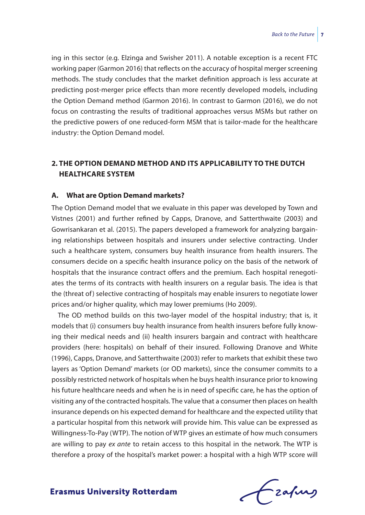ing in this sector (e.g. Elzinga and Swisher 2011). A notable exception is a recent FTC working paper (Garmon 2016) that reflects on the accuracy of hospital merger screening methods. The study concludes that the market definition approach is less accurate at predicting post-merger price effects than more recently developed models, including the Option Demand method (Garmon 2016). In contrast to Garmon (2016), we do not focus on contrasting the results of traditional approaches versus MSMs but rather on the predictive powers of one reduced-form MSM that is tailor-made for the healthcare industry: the Option Demand model.

# **2. THE OPTION DEMAND METHOD AND ITS APPLICABILITY TO THE DUTCH HEALTHCARE SYSTEM**

## **A. What are Option Demand markets?**

The Option Demand model that we evaluate in this paper was developed by Town and Vistnes (2001) and further refined by Capps, Dranove, and Satterthwaite (2003) and Gowrisankaran et al. (2015). The papers developed a framework for analyzing bargaining relationships between hospitals and insurers under selective contracting. Under such a healthcare system, consumers buy health insurance from health insurers. The consumers decide on a specific health insurance policy on the basis of the network of hospitals that the insurance contract offers and the premium. Each hospital renegotiates the terms of its contracts with health insurers on a regular basis. The idea is that the (threat of) selective contracting of hospitals may enable insurers to negotiate lower prices and/or higher quality, which may lower premiums (Ho 2009).

The OD method builds on this two-layer model of the hospital industry; that is, it models that (i) consumers buy health insurance from health insurers before fully knowing their medical needs and (ii) health insurers bargain and contract with healthcare providers (here: hospitals) on behalf of their insured. Following Dranove and White (1996), Capps, Dranove, and Satterthwaite (2003) refer to markets that exhibit these two layers as 'Option Demand' markets (or OD markets), since the consumer commits to a possibly restricted network of hospitals when he buys health insurance prior to knowing his future healthcare needs and when he is in need of specific care, he has the option of visiting any of the contracted hospitals. The value that a consumer then places on health insurance depends on his expected demand for healthcare and the expected utility that a particular hospital from this network will provide him. This value can be expressed as Willingness-To-Pay (WTP). The notion of WTP gives an estimate of how much consumers are willing to pay *ex ante* to retain access to this hospital in the network. The WTP is therefore a proxy of the hospital's market power: a hospital with a high WTP score will

Frahing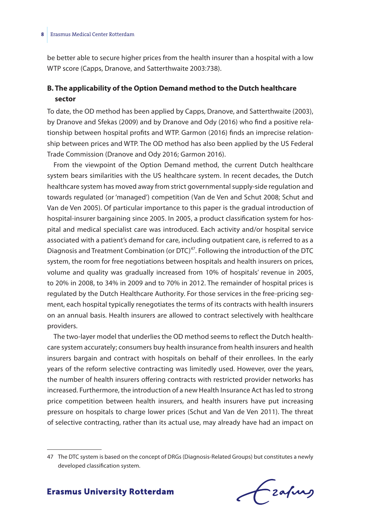be better able to secure higher prices from the health insurer than a hospital with a low WTP score (Capps, Dranove, and Satterthwaite 2003:738).

## **B. The applicability of the Option Demand method to the Dutch healthcare sector**

To date, the OD method has been applied by Capps, Dranove, and Satterthwaite (2003), by Dranove and Sfekas (2009) and by Dranove and Ody (2016) who find a positive relationship between hospital profits and WTP. Garmon (2016) finds an imprecise relationship between prices and WTP. The OD method has also been applied by the US Federal Trade Commission (Dranove and Ody 2016; Garmon 2016).

From the viewpoint of the Option Demand method, the current Dutch healthcare system bears similarities with the US healthcare system. In recent decades, the Dutch healthcare system has moved away from strict governmental supply-side regulation and towards regulated (or 'managed') competition (Van de Ven and Schut 2008; Schut and Van de Ven 2005). Of particular importance to this paper is the gradual introduction of hospital-insurer bargaining since 2005. In 2005, a product classification system for hospital and medical specialist care was introduced. Each activity and/or hospital service associated with a patient's demand for care, including outpatient care, is referred to as a Diagnosis and Treatment Combination (or DTC)<sup>47</sup>. Following the introduction of the DTC system, the room for free negotiations between hospitals and health insurers on prices, volume and quality was gradually increased from 10% of hospitals' revenue in 2005, to 20% in 2008, to 34% in 2009 and to 70% in 2012. The remainder of hospital prices is regulated by the Dutch Healthcare Authority. For those services in the free-pricing segment, each hospital typically renegotiates the terms of its contracts with health insurers on an annual basis. Health insurers are allowed to contract selectively with healthcare providers.

The two-layer model that underlies the OD method seems to reflect the Dutch healthcare system accurately; consumers buy health insurance from health insurers and health insurers bargain and contract with hospitals on behalf of their enrollees. In the early years of the reform selective contracting was limitedly used. However, over the years, the number of health insurers offering contracts with restricted provider networks has increased. Furthermore, the introduction of a new Health Insurance Act has led to strong price competition between health insurers, and health insurers have put increasing pressure on hospitals to charge lower prices (Schut and Van de Ven 2011). The threat of selective contracting, rather than its actual use, may already have had an impact on

Czapurs

<sup>47</sup> The DTC system is based on the concept of DRGs (Diagnosis-Related Groups) but constitutes a newly developed classification system.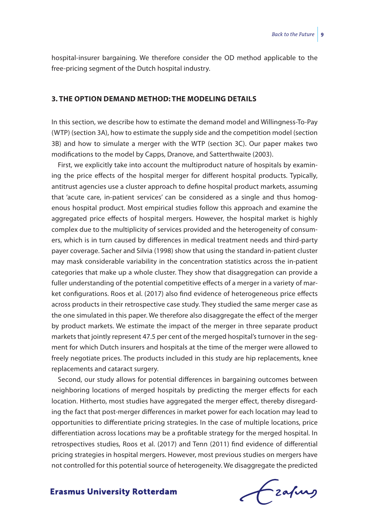hospital-insurer bargaining. We therefore consider the OD method applicable to the free-pricing segment of the Dutch hospital industry.

## **3. THE OPTION DEMAND METHOD: THE MODELING DETAILS**

In this section, we describe how to estimate the demand model and Willingness-To-Pay (WTP) (section 3A), how to estimate the supply side and the competition model (section 3B) and how to simulate a merger with the WTP (section 3C). Our paper makes two modifications to the model by Capps, Dranove, and Satterthwaite (2003).

First, we explicitly take into account the multiproduct nature of hospitals by examining the price effects of the hospital merger for different hospital products. Typically, antitrust agencies use a cluster approach to define hospital product markets, assuming that 'acute care, in-patient services' can be considered as a single and thus homogenous hospital product. Most empirical studies follow this approach and examine the aggregated price effects of hospital mergers. However, the hospital market is highly complex due to the multiplicity of services provided and the heterogeneity of consumers, which is in turn caused by differences in medical treatment needs and third-party payer coverage. Sacher and Silvia (1998) show that using the standard in-patient cluster may mask considerable variability in the concentration statistics across the in-patient categories that make up a whole cluster. They show that disaggregation can provide a fuller understanding of the potential competitive effects of a merger in a variety of market configurations. Roos et al. (2017) also find evidence of heterogeneous price effects across products in their retrospective case study. They studied the same merger case as the one simulated in this paper. We therefore also disaggregate the effect of the merger by product markets. We estimate the impact of the merger in three separate product markets that jointly represent 47.5 per cent of the merged hospital's turnover in the segment for which Dutch insurers and hospitals at the time of the merger were allowed to freely negotiate prices. The products included in this study are hip replacements, knee replacements and cataract surgery.

Second, our study allows for potential differences in bargaining outcomes between neighboring locations of merged hospitals by predicting the merger effects for each location. Hitherto, most studies have aggregated the merger effect, thereby disregarding the fact that post-merger differences in market power for each location may lead to opportunities to differentiate pricing strategies. In the case of multiple locations, price differentiation across locations may be a profitable strategy for the merged hospital. In retrospectives studies, Roos et al. (2017) and Tenn (2011) find evidence of differential pricing strategies in hospital mergers. However, most previous studies on mergers have not controlled for this potential source of heterogeneity. We disaggregate the predicted

Czafing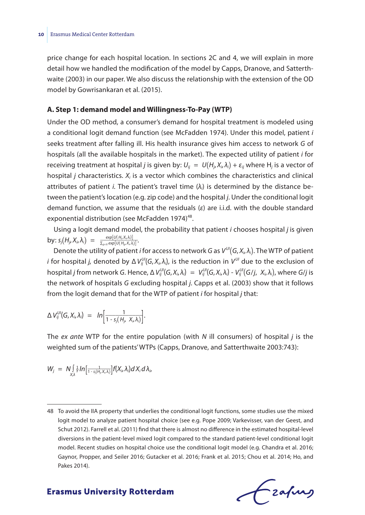price change for each hospital location. In sections 2C and 4, we will explain in more detail how we handled the modification of the model by Capps, Dranove, and Satterthwaite (2003) in our paper. We also discuss the relationship with the extension of the OD model by Gowrisankaran et al. (2015).

## **A. Step 1: demand model and Willingness-To-Pay (WTP)**

Under the OD method, a consumer's demand for hospital treatment is modeled using a conditional logit demand function (see McFadden 1974). Under this model, patient *i* seeks treatment after falling ill. His health insurance gives him access to network *G* of hospitals (all the available hospitals in the market). The expected utility of patient *i* for receiving treatment at hospital *j* is given by:  $U_{ij} = U(H_{ji}X_{ij}A_i) + \varepsilon_{ij}$  where H<sub>j</sub> is a vector of hospital *j* characteristics. *Xi* is a vector which combines the characteristics and clinical attributes of patient *i*. The patient's travel time  $(\lambda_i)$  is determined by the distance between the patient's location (e.g. zip code) and the hospital *j*. Under the conditional logit demand function, we assume that the residuals (*ε*) are i.i.d. with the double standard exponential distribution (see McFadden 1974)<sup>48</sup>.

Using a logit demand model, the probability that patient *i* chooses hospital *j* is given  $\frac{\exp[iU(H_j, X_i, \lambda_i)]}{\sum_{g \in G} \exp[iU(H_g, X_i, \lambda_i)]}$ .

Denote the utility of patient *i* for access to network *G* as  $V^{U\prime}(G, X_i, \lambda_i)$ . The WTP of patient *i* for hospital *j,* denoted by Δ V $_{ij}^{U\prime}(G,X_i,\lambda_i)$ , is the reduction in V<sup>UI</sup> due to the exclusion of hospital *j* from network G. Hence, Δ  $V_{ij}^{\cup\prime}(G,X_i,\lambda_i)~=~V_{ij}^{\cup\prime}(G,X_i,\lambda_i)$  -  $V_{ij}^{\cup\prime}(G/j,~X_i,\lambda_i)$ , where G/j is the network of hospitals *G* excluding hospital *j*. Capps et al. (2003) show that it follows from the logit demand that for the WTP of patient *i* for hospital *j* that:

$$
\Delta V_{ij}^{U\prime}(G,X_i,\lambda_i) = ln \left[\frac{1}{1-s_j(H_{j},X_i,\lambda_i)}\right].
$$

The *ex ante* WTP for the entire population (with *N* ill consumers) of hospital *j* is the weighted sum of the patients' WTPs (Capps, Dranove, and Satterthwaite 2003:743):<br>  $W_j = N \int_{X,\lambda}^f \frac{1}{r} \ln \left[ \frac{1}{1 - s_j \left( H_j, X_i, \lambda_j$ weighted sum of the patients' WTPs (Capps, Dranove, and Satterthwaite 2003:743):

$$
W_j = N \int_{X, \lambda} \frac{1}{\gamma} ln \left[ \frac{1}{1 - s_j(H_j, X_j, \lambda_j)} \right] f(X_i, \lambda_i) dX_i d\lambda_i,
$$

Frafing

<sup>48</sup> To avoid the IIA property that underlies the conditional logit functions, some studies use the mixed logit model to analyze patient hospital choice (see e.g. Pope 2009; Varkevisser, van der Geest, and Schut 2012). Farrell et al. (2011) find that there is almost no difference in the estimated hospital-level diversions in the patient-level mixed logit compared to the standard patient-level conditional logit model. Recent studies on hospital choice use the conditional logit model (e.g. Chandra et al. 2016; Gaynor, Propper, and Seiler 2016; Gutacker et al. 2016; Frank et al. 2015; Chou et al. 2014; Ho, and Pakes 2014).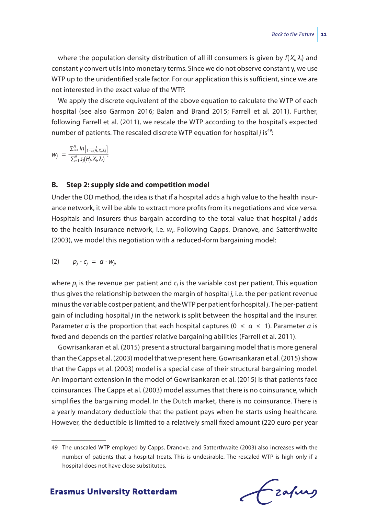where the population density distribution of all ill consumers is given by *f*( *Xi*, *λi*) and constant *γ* convert utils into monetary terms. Since we do not observe constant γ, we use WTP up to the unidentified scale factor. For our application this is sufficient, since we are not interested in the exact value of the WTP.

We apply the discrete equivalent of the above equation to calculate the WTP of each hospital (see also Garmon 2016; Balan and Brand 2015; Farrell et al. 2011). Further, following Farrell et al. (2011), we rescale the WTP according to the hospital's expected<br>number of patients. The rescaled discrete WTP equation for hospital *j* is<sup>49</sup>:<br> $w_i = \frac{\sum_{i=1}^{N} ln[1-s_i(t_i, x_i x_i)]}{w_i}$ number of patients. The rescaled discrete WTP equation for hospital *j* is<sup>49</sup>:

$$
W_j = \frac{\sum_{i=1}^N ln \left[\frac{1}{1-s_j(H_j,X_i,\lambda_i)}\right]}{\sum_{i=1}^N s_j(H_j,X_i,\lambda_i)}.
$$

### **B. Step 2: supply side and competition model**

Under the OD method, the idea is that if a hospital adds a high value to the health insurance network, it will be able to extract more profits from its negotiations and vice versa. Hospitals and insurers thus bargain according to the total value that hospital *j* adds to the health insurance network, i.e. *wj*. Following Capps, Dranove, and Satterthwaite (2003), we model this negotiation with a reduced-form bargaining model:

$$
(2) \qquad p_j - c_j = \alpha \cdot w_j
$$

where  $p_i$  is the revenue per patient and  $c_i$  is the variable cost per patient. This equation thus gives the relationship between the margin of hospital *j*, i.e. the per-patient revenue minus the variable cost per patient, and the WTP per patient for hospital *j*. The per-patient gain of including hospital *j* in the network is split between the hospital and the insurer. Parameter *α* is the proportion that each hospital captures ( $0 \le a \le 1$ ). Parameter *α* is fixed and depends on the parties' relative bargaining abilities (Farrell et al. 2011).

Gowrisankaran et al. (2015) present a structural bargaining model that is more general than the Capps et al. (2003) model that we present here. Gowrisankaran et al. (2015) show that the Capps et al. (2003) model is a special case of their structural bargaining model. An important extension in the model of Gowrisankaran et al. (2015) is that patients face coinsurances. The Capps et al. (2003) model assumes that there is no coinsurance, which simplifies the bargaining model. In the Dutch market, there is no coinsurance. There is a yearly mandatory deductible that the patient pays when he starts using healthcare. However, the deductible is limited to a relatively small fixed amount (220 euro per year

<sup>49</sup> The unscaled WTP employed by Capps, Dranove, and Satterthwaite (2003) also increases with the number of patients that a hospital treats. This is undesirable. The rescaled WTP is high only if a hospital does not have close substitutes.

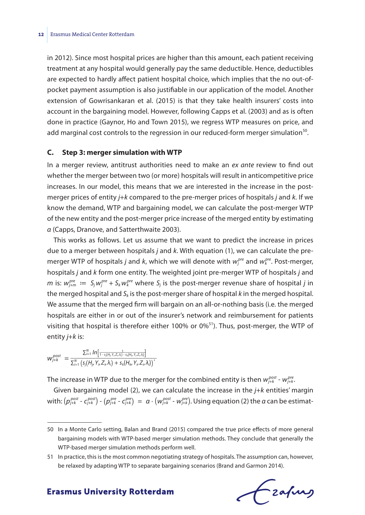in 2012). Since most hospital prices are higher than this amount, each patient receiving treatment at any hospital would generally pay the same deductible. Hence, deductibles are expected to hardly affect patient hospital choice, which implies that the no out-ofpocket payment assumption is also justifiable in our application of the model. Another extension of Gowrisankaran et al. (2015) is that they take health insurers' costs into account in the bargaining model. However, following Capps et al. (2003) and as is often done in practice (Gaynor, Ho and Town 2015), we regress WTP measures on price, and add marginal cost controls to the regression in our reduced-form merger simulation $50$ .

#### **C. Step 3: merger simulation with WTP**

In a merger review, antitrust authorities need to make an *ex ante* review to find out whether the merger between two (or more) hospitals will result in anticompetitive price increases. In our model, this means that we are interested in the increase in the postmerger prices of entity *j*+*k* compared to the pre-merger prices of hospitals *j* and *k.* If we know the demand, WTP and bargaining model, we can calculate the post-merger WTP of the new entity and the post-merger price increase of the merged entity by estimating *α* (Capps, Dranove, and Satterthwaite 2003).

This works as follows. Let us assume that we want to predict the increase in prices due to a merger between hospitals *j* and *k*. With equation (1), we can calculate the premerger WTP of hospitals *j* and *k*, which we will denote with  $w_j^{pre}$  and  $w_k^{pre}$ . Post-merger, hospitals *j* and *k* form one entity. The weighted joint pre-merger WTP of hospitals *j* and *m* is:  $w_{j+m}^{pre} := S_j w_j^{pre} + S_k w_k^{pre}$  where  $S_j$  is the post-merger revenue share of hospital *j* in the merged hospital and *Sk* is the post-merger share of hospital *k* in the merged hospital. We assume that the merged firm will bargain on an all-or-nothing basis (i.e. the merged hospitals are either in or out of the insurer's network and reimbursement for patients visiting that hospital is therefore either 100% or 0%<sup>51</sup>). Thus, post-merger, the WTP of<br>entity *j*+*k* is:<br> $w_{j+k}^{post} = \frac{\sum_{i=1}^{N} ln\left[\frac{1}{1-s_j(t_j, Y_i, Z_i, \lambda_j) - s_i(t_l, Y_i, Z_i, \lambda_i)}\right]}{\sum_{i=1}^{N} \left(s_j(H_j, Y_j, Z_i, \lambda_i) + s_k(H_k, Y_j, Z_i, \lambda_i)\right)}$ entity *j*+*k* is:

$$
W_{j+k}^{post} = \frac{\sum_{i=1}^{N} ln \left[\frac{1}{1-s_i(H_y, Y_u Z_u \lambda_i) - s_k(H_u, Y_u Z_u \lambda_i)}\right]}{\sum_{i=1}^{N} \left(s_j(H_j, Y_i, Z_i, \lambda_i) + s_k(H_k, Y_i, Z_i, \lambda_i)\right)}.
$$

The increase in WTP due to the merger for the combined entity is then  $w_{j+k}^{post}$  -  $w_{j+k}^{pre}$ 

Given bargaining model (2), we can calculate the increase in the *j*+*k* entities' margin with:  $(p_{j+k}^{post} - c_{j+k}^{post}) - (p_{j+k}^{pre} - c_{j+k}^{pre}) = \alpha \cdot (w_{j+k}^{post} - w_{j+k}^{pre})$ . Using equation (2) the  $\alpha$  can be estimat-

frafing

<sup>50</sup> In a Monte Carlo setting, Balan and Brand (2015) compared the true price effects of more general bargaining models with WTP-based merger simulation methods. They conclude that generally the WTP-based merger simulation methods perform well.

<sup>51</sup> In practice, this is the most common negotiating strategy of hospitals. The assumption can, however, be relaxed by adapting WTP to separate bargaining scenarios (Brand and Garmon 2014).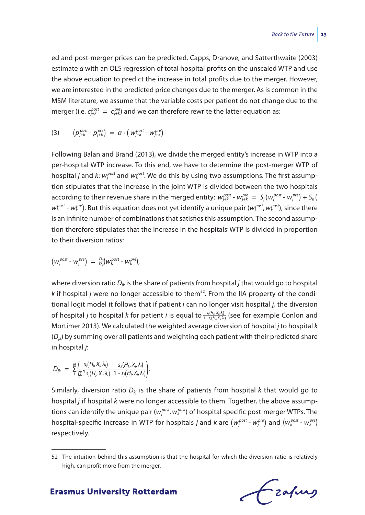ed and post-merger prices can be predicted. Capps, Dranove, and Satterthwaite (2003) estimate *α* with an OLS regression of total hospital profits on the unscaled WTP and use the above equation to predict the increase in total profits due to the merger. However, we are interested in the predicted price changes due to the merger. As is common in the MSM literature, we assume that the variable costs per patient do not change due to the merger (i.e.  $c_{j+k}^{post} = c_{j+k}^{pre}$ ) and we can therefore rewrite the latter equation as:

$$
(3) \qquad \left(p_{j+k}^{post} \cdot p_{j+k}^{pre}\right) \; = \; \alpha \cdot \left(\,w_{j+k}^{post} \cdot w_{j+k}^{pre}\right)
$$

Following Balan and Brand (2013), we divide the merged entity's increase in WTP into a per-hospital WTP increase. To this end, we have to determine the post-merger WTP of hospital *j* and *k*:  $w_j^{post}$  and  $w_k^{post}$ . We do this by using two assumptions. The first assumption stipulates that the increase in the joint WTP is divided between the two hospitals according to their revenue share in the merged entity:  $w_{j+k}^{post}$  -  $w_{j+k}^{pre} = S_j(w_j^{post}$  -  $w_j^{pre}) + S_k(w_j^{pre})$ *wk post* - *wk pre*). But this equation does not yet identify a unique pair (*wj post*, *wk post*), since there is an infinite number of combinations that satisfies this assumption. The second assumption therefore stipulates that the increase in the hospitals' WTP is divided in proportion to their diversion ratios:

$$
\left(W^{post}_{j} - W^{pre}_{j}\right) = \frac{D_{jk}}{D_{kj}}\left(W^{post}_{k} - W^{pre}_{k}\right),
$$

where diversion ratio *Djk* is the share of patients from hospital *j* that would go to hospital  $k$  if hospital *j* were no longer accessible to them<sup>52</sup>. From the IIA property of the conditional logit model it follows that if patient *i* can no longer visit hospital *j,* the diversion where diversion ratio  $D_{jk}$  is the share of patients from hospital *j* that would go to hospital *k* if hospital *j* were no longer accessible to them<sup>52</sup>. From the IIA property of the conditional logit model it follows Mortimer 2013). We calculated the weighted average diversion of hospital *j* to hospital *k*<br>
(*D<sub>jk</sub>*) by summing over all patients and weighting each patient with their predicted share<br>
in hospital *j*:<br>  $D_{jk} = \frac{N}{l} \left$ (*Djk*) by summing over all patients and weighting each patient with their predicted share in hospital *j*:

$$
D_{jk} = \sum_{i}^{N} \left( \frac{s_j(H_i, X_i, \lambda_i)}{\sum_{i}^{N} s_j(H_i, X_i, \lambda_i)} \frac{s_k(H_k, X_i, \lambda_i)}{1 - s_j(H_j, X_i, \lambda_i)} \right).
$$

Similarly, diversion ratio  $D_{kj}$  is the share of patients from hospital  $k$  that would go to hospital *j* if hospital *k* were no longer accessible to them. Together, the above assumptions can identify the unique pair ( $w_j^{post}$ ,  $w_k^{post}$ ) of hospital specific post-merger WTPs. The hospital-specific increase in WTP for hospitals *j* and *k* are  $(w_j^{post}$  -  $w_j^{pre})$  and  $(w_k^{post}$  -  $w_k^{pre})$ respectively.

<sup>52</sup> The intuition behind this assumption is that the hospital for which the diversion ratio is relatively high, can profit more from the merger.

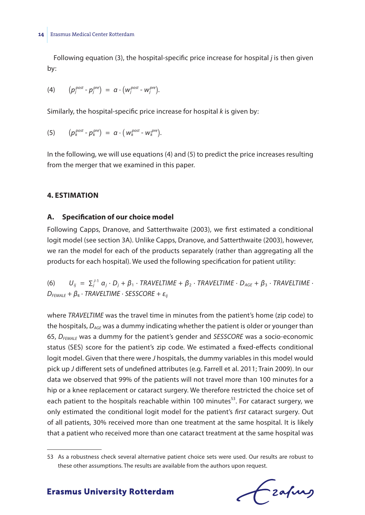Following equation (3), the hospital-specific price increase for hospital *j* is then given by:

(4) 
$$
(p_j^{post} - p_j^{pre}) = \alpha \cdot (w_j^{post} - w_j^{pre}).
$$

Similarly, the hospital-specific price increase for hospital *k* is given by:

(5) 
$$
(p_k^{post} - p_k^{pre}) = \alpha \cdot (w_k^{post} - w_k^{pre}).
$$

In the following, we will use equations (4) and (5) to predict the price increases resulting from the merger that we examined in this paper.

## **4. ESTIMATION**

## **A. Specification of our choice model**

Following Capps, Dranove, and Satterthwaite (2003), we first estimated a conditional logit model (see section 3A). Unlike Capps, Dranove, and Satterthwaite (2003), however, we ran the model for each of the products separately (rather than aggregating all the products for each hospital). We used the following specification for patient utility:

(6)  $U_{ij} = \sum_{j}^{j-1} \alpha_j \cdot D_j + \beta_1 \cdot TRAVELTIME + \beta_2 \cdot TRAVELTIME \cdot D_{AGE} + \beta_3 \cdot TRAVELTIME \cdot$ *DFEMALE* + *β*<sup>4</sup> ∙ *TRAVELTIME* ∙ *SESSCORE* + *εij*

where *TRAVELTIME* was the travel time in minutes from the patient's home (zip code) to the hospitals, *DAGE* was a dummy indicating whether the patient is older or younger than 65, *DFEMALE* was a dummy for the patient's gender and *SESSCORE* was a socio-economic status (SES) score for the patient's zip code. We estimated a fixed-effects conditional logit model. Given that there were *J* hospitals, the dummy variables in this model would pick up *J* different sets of undefined attributes (e.g. Farrell et al. 2011; Train 2009). In our data we observed that 99% of the patients will not travel more than 100 minutes for a hip or a knee replacement or cataract surgery. We therefore restricted the choice set of each patient to the hospitals reachable within 100 minutes<sup>53</sup>. For cataract surgery, we only estimated the conditional logit model for the patient's *first* cataract surgery. Out of all patients, 30% received more than one treatment at the same hospital. It is likely that a patient who received more than one cataract treatment at the same hospital was

Czafurg

<sup>53</sup> As a robustness check several alternative patient choice sets were used. Our results are robust to these other assumptions. The results are available from the authors upon request.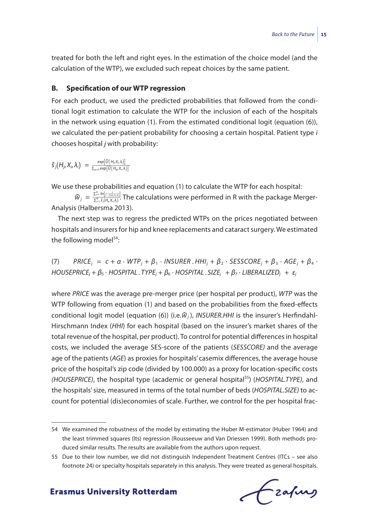treated for both the left and right eyes. In the estimation of the choice model (and the calculation of the WTP), we excluded such repeat choices by the same patient.

## **B. Specification of our WTP regression**

For each product, we used the predicted probabilities that followed from the conditional logit estimation to calculate the WTP for the inclusion of each of the hospitals in the network using equation (1). From the estimated conditional logit (equation (6)), we calculated the per-patient probability for choosing a certain hospital. Patient type *i* chooses hospital *j* with probability:

$$
\hat{S}_j(H_j,X_i,\lambda_i) = \frac{exp[\hat{U}(H_j,X_i,\lambda_i)]}{\sum_{g \in G} exp[\hat{U}(H_g,X_i,\lambda_i)]}
$$

We use these probabilities and equation (1) to calculate the WTP for each hospital:<br>  $\widehat{w}_j = \frac{\sum_{i=1}^{N} ln[\frac{1}{1 + j(h_o \chi_{ab})}]}{\sum_{i=1}^{N} \widehat{s}_j(h_j, \chi_{a}\lambda)}$ . The calculations were performed in R with the package Me ∑*<sup>i</sup>*=1 *<sup>N</sup> ln*[  $\frac{exp[\widehat{U}(H_{j}, X_{i}, \lambda)]}{\sum_{g \in G} exp[\widehat{U}(H_{g}, X_{i}, \lambda)]}$ <br>probabilities and equation (1) to calculate the WTP for each hospital:<br> $\frac{\sum_{i=1}^{N} h[\frac{-\tau_{i}(\hat{H}_{i}, X_{i}, \lambda)}{2}] }{\sum_{i=1}^{N} \widehat{S}(H_{j}, X_{i}, \lambda)}$ . The calculations were perfor Analysis (Halbersma 2013).

The next step was to regress the predicted WTPs on the prices negotiated between hospitals and insurers for hip and knee replacements and cataract surgery. We estimated the following model $54$ :

 $(7)$  *PRICE*<sub>*i*</sub> = *c* + *α*  $\cdot$  *WTP*<sub>*i*</sub> + *β*<sub>1</sub>  $\cdot$  *INSURER*. *HHI*<sub>*i*</sub> + *β*<sub>2</sub>  $\cdot$  *SESSCORE<sub>i</sub>* + *β*<sub>3</sub>  $\cdot$  *AGE<sub>i</sub>* + *β*<sub>4</sub>  $\cdot$ *HOUSEPRICEj* + *β*<sup>5</sup> ∙ *HOSPITAL* . *TYPEj* + *β*<sup>6</sup> ∙ *HOSPITAL* . *SIZEj* + *β*<sup>7</sup> ∙ *LIBERALIZEDj* + *εj*

where *PRICE* was the average pre-merger price (per hospital per product), *WTP* was the WTP following from equation (1) and based on the probabilities from the fixed-effects conditional logit model (equation (6)) (i.e. $\hat{w}_i$ ), *INSURER.HHI* is the insurer's Herfindahl-Hirschmann Index (*HHI*) for each hospital (based on the insurer's market shares of the total revenue of the hospital, per product). To control for potential differences in hospital costs, we included the average SES-score of the patients (*SESSCORE)* and the average age of the patients (*AGE*) as proxies for hospitals' casemix differences, the average house price of the hospital's zip code (divided by 100.000) as a proxy for location-specific costs *(HOUSEPRICE)*, the hospital type (academic or general hospital55) (*HOSPITAL.TYPE)*, and the hospitals' size, measured in terms of the total number of beds (*HOSPITAL.SIZE)* to account for potential (dis)economies of scale. Further, we control for the per hospital frac-

Czafurg

<sup>54</sup> We examined the robustness of the model by estimating the Huber M-estimator (Huber 1964) and the least trimmed squares (lts) regression (Rousseeuw and Van Driessen 1999). Both methods produced similar results. The results are available from the authors upon request.

<sup>55</sup> Due to their low number, we did not distinguish Independent Treatment Centres (ITCs – see also footnote 24) or specialty hospitals separately in this analysis. They were treated as general hospitals.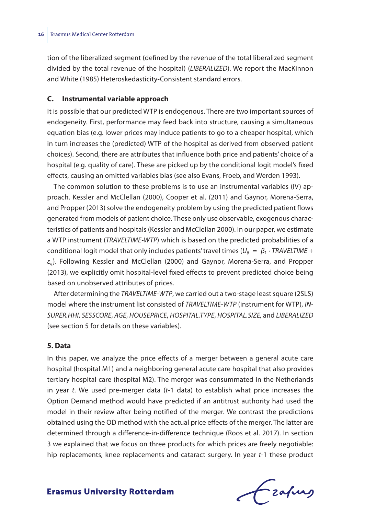tion of the liberalized segment (defined by the revenue of the total liberalized segment divided by the total revenue of the hospital) (*LIBERALIZED*). We report the MacKinnon and White (1985) Heteroskedasticity-Consistent standard errors.

## **C. Instrumental variable approach**

It is possible that our predicted WTP is endogenous. There are two important sources of endogeneity. First, performance may feed back into structure, causing a simultaneous equation bias (e.g. lower prices may induce patients to go to a cheaper hospital, which in turn increases the (predicted) WTP of the hospital as derived from observed patient choices). Second, there are attributes that influence both price and patients' choice of a hospital (e.g. quality of care). These are picked up by the conditional logit model's fixed effects, causing an omitted variables bias (see also Evans, Froeb, and Werden 1993).

The common solution to these problems is to use an instrumental variables (IV) approach. Kessler and McClellan (2000), Cooper et al. (2011) and Gaynor, Morena-Serra, and Propper (2013) solve the endogeneity problem by using the predicted patient flows generated from models of patient choice. These only use observable, exogenous characteristics of patients and hospitals (Kessler and McClellan 2000). In our paper, we estimate a WTP instrument (*TRAVELTIME-WTP*) which is based on the predicted probabilities of a conditional logit model that only includes patients' travel times ( $U_{ii} = \beta_1 \cdot \text{TRAVELTIME} + \text{TN}$ *εij*). Following Kessler and McClellan (2000) and Gaynor, Morena-Serra, and Propper (2013), we explicitly omit hospital-level fixed effects to prevent predicted choice being based on unobserved attributes of prices.

After determining the *TRAVELTIME-WTP*, we carried out a two-stage least square (2SLS) model where the instrument list consisted of *TRAVELTIME-WTP* (instrument for WTP), *IN-SURER.HHI*, *SESSCORE*, *AGE*, *HOUSEPRICE*, *HOSPITAL.TYPE*, *HOSPITAL.SIZE,* and *LIBERALIZED* (see section 5 for details on these variables).

### **5. Data**

In this paper, we analyze the price effects of a merger between a general acute care hospital (hospital M1) and a neighboring general acute care hospital that also provides tertiary hospital care (hospital M2). The merger was consummated in the Netherlands in year *t*. We used pre-merger data (*t*-1 data) to establish what price increases the Option Demand method would have predicted if an antitrust authority had used the model in their review after being notified of the merger. We contrast the predictions obtained using the OD method with the actual price effects of the merger. The latter are determined through a difference-in-difference technique (Roos et al. 2017). In section 3 we explained that we focus on three products for which prices are freely negotiable: hip replacements, knee replacements and cataract surgery. In year *t*-1 these product

Frafing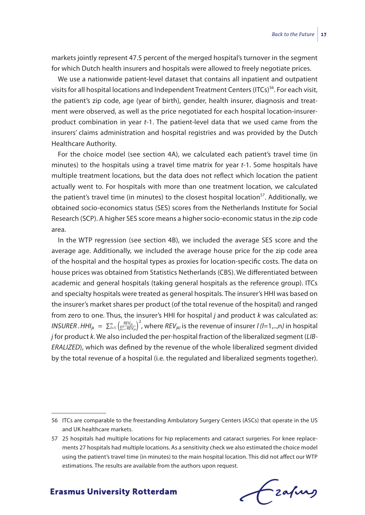markets jointly represent 47.5 percent of the merged hospital's turnover in the segment for which Dutch health insurers and hospitals were allowed to freely negotiate prices.

We use a nationwide patient-level dataset that contains all inpatient and outpatient visits for all hospital locations and Independent Treatment Centers (ITCs)<sup>56</sup>. For each visit, the patient's zip code, age (year of birth), gender, health insurer, diagnosis and treatment were observed, as well as the price negotiated for each hospital location-insurerproduct combination in year *t*-1. The patient-level data that we used came from the insurers' claims administration and hospital registries and was provided by the Dutch Healthcare Authority.

For the choice model (see section 4A), we calculated each patient's travel time (in minutes) to the hospitals using a travel time matrix for year *t*-1. Some hospitals have multiple treatment locations, but the data does not reflect which location the patient actually went to. For hospitals with more than one treatment location, we calculated the patient's travel time (in minutes) to the closest hospital location<sup>57</sup>. Additionally, we obtained socio-economics status (SES) scores from the Netherlands Institute for Social Research (SCP). A higher SES score means a higher socio-economic status in the zip code area.

In the WTP regression (see section 4B), we included the average SES score and the average age. Additionally, we included the average house price for the zip code area of the hospital and the hospital types as proxies for location-specific costs. The data on house prices was obtained from Statistics Netherlands (CBS). We differentiated between academic and general hospitals (taking general hospitals as the reference group). ITCs and specialty hospitals were treated as general hospitals. The insurer's HHI was based on the insurer's market shares per product (of the total revenue of the hospital) and ranged from zero to one. Thus, the insurer's HHI for hospital *j* and product *k* was calculated as: *Insurer's market shares p*<br>*INSURER .HHI<sub>jk</sub> = ∑<sup><i>l*</sup>=1 ( $\frac{REV_{\mu\nu}}{\sum_{i=1}^{n} REV_{\mu\nu}}$ *REVjkl* ∑*<sup>l</sup>*=1 *<sup>n</sup> REVjkl*) 2 , where *REVjkl* is the revenue of insurer *l (l*=1,..,n*)* in hospital *j* for product *k.* We also included the per-hospital fraction of the liberalized segment (*LIB-ERALIZED*), which was defined by the revenue of the whole liberalized segment divided by the total revenue of a hospital (i.e. the regulated and liberalized segments together).

Frafing

<sup>56</sup> ITCs are comparable to the freestanding Ambulatory Surgery Centers (ASCs) that operate in the US and UK healthcare markets.

<sup>57</sup> 25 hospitals had multiple locations for hip replacements and cataract surgeries. For knee replacements 27 hospitals had multiple locations. As a sensitivity check we also estimated the choice model using the patient's travel time (in minutes) to the main hospital location. This did not affect our WTP estimations. The results are available from the authors upon request.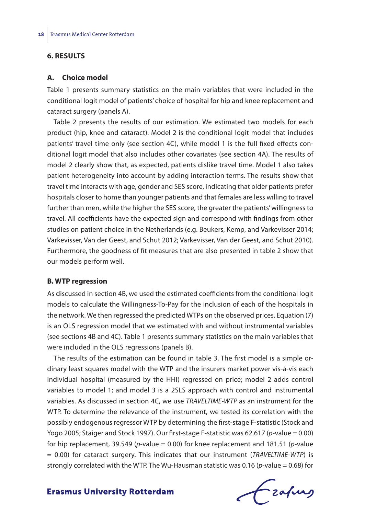## **6. RESULTS**

#### **A. Choice model**

Table 1 presents summary statistics on the main variables that were included in the conditional logit model of patients' choice of hospital for hip and knee replacement and cataract surgery (panels A).

Table 2 presents the results of our estimation. We estimated two models for each product (hip, knee and cataract). Model 2 is the conditional logit model that includes patients' travel time only (see section 4C), while model 1 is the full fixed effects conditional logit model that also includes other covariates (see section 4A). The results of model 2 clearly show that, as expected, patients dislike travel time. Model 1 also takes patient heterogeneity into account by adding interaction terms. The results show that travel time interacts with age, gender and SES score, indicating that older patients prefer hospitals closer to home than younger patients and that females are less willing to travel further than men, while the higher the SES score, the greater the patients' willingness to travel. All coefficients have the expected sign and correspond with findings from other studies on patient choice in the Netherlands (e.g. Beukers, Kemp, and Varkevisser 2014; Varkevisser, Van der Geest, and Schut 2012; Varkevisser, Van der Geest, and Schut 2010). Furthermore, the goodness of fit measures that are also presented in table 2 show that our models perform well.

## **B. WTP regression**

As discussed in section 4B, we used the estimated coefficients from the conditional logit models to calculate the Willingness-To-Pay for the inclusion of each of the hospitals in the network. We then regressed the predicted WTPs on the observed prices. Equation (7) is an OLS regression model that we estimated with and without instrumental variables (see sections 4B and 4C). Table 1 presents summary statistics on the main variables that were included in the OLS regressions (panels B).

The results of the estimation can be found in table 3. The first model is a simple ordinary least squares model with the WTP and the insurers market power vis-á-vis each individual hospital (measured by the HHI) regressed on price; model 2 adds control variables to model 1; and model 3 is a 2SLS approach with control and instrumental variables. As discussed in section 4C, we use *TRAVELTIME-WTP* as an instrument for the WTP. To determine the relevance of the instrument, we tested its correlation with the possibly endogenous regressor WTP by determining the first-stage F-statistic (Stock and Yogo 2005; Staiger and Stock 1997). Our first-stage F-statistic was 62.617 (*p*-value = 0.00) for hip replacement, 39.549 (*p*-value = 0.00) for knee replacement and 181.51 (*p*-value = 0.00) for cataract surgery. This indicates that our instrument (*TRAVELTIME-WTP*) is strongly correlated with the WTP. The Wu-Hausman statistic was 0.16 (*p*-value = 0.68) for

frafing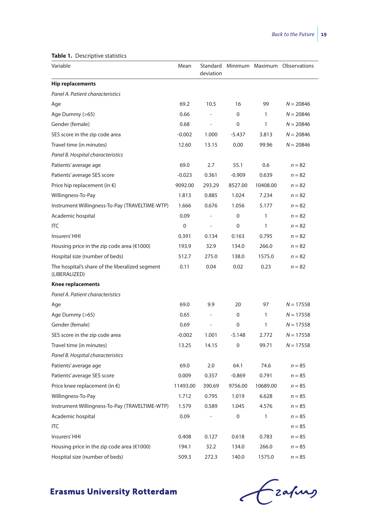#### **Table 1.** Descriptive statistics

| $\cdots$ besemptive statistics                                   |          |                          |           |              |                              |
|------------------------------------------------------------------|----------|--------------------------|-----------|--------------|------------------------------|
| Variable                                                         | Mean     | Standard<br>deviation    |           |              | Minimum Maximum Observations |
| <b>Hip replacements</b>                                          |          |                          |           |              |                              |
| Panel A. Patient characteristics                                 |          |                          |           |              |                              |
| Age                                                              | 69.2     | 10.5                     | 16        | 99           | $N = 20846$                  |
| Age Dummy (>65)                                                  | 0.66     | $\overline{\phantom{a}}$ | 0         | $\mathbf{1}$ | $N = 20846$                  |
| Gender (female)                                                  | 0.68     | $\overline{\phantom{m}}$ | 0         | 1            | $N = 20846$                  |
| SES score in the zip code area                                   | $-0.002$ | 1.000                    | $-5.437$  | 3.813        | $N = 20846$                  |
| Travel time (in minutes)                                         | 12.60    | 13.15                    | 0.00      | 99.96        | $N = 20846$                  |
| Panel B. Hospital characteristics                                |          |                          |           |              |                              |
| Patients' average age                                            | 69.0     | 2.7                      | 55.1      | 0.6          | $n = 82$                     |
| Patients' average SES score                                      | $-0.023$ | 0.361                    | $-0.909$  | 0.639        | $n = 82$                     |
| Price hip replacement (in $\epsilon$ )                           | 9092.00  | 293.29                   | 8527.00   | 10408.00     | $n = 82$                     |
| Willingness-To-Pay                                               | 1.813    | 0.885                    | 1.024     | 7.234        | $n = 82$                     |
| Instrument Willingness-To-Pay (TRAVELTIME-WTP)                   | 1.666    | 0.676                    | 1.056     | 5.177        | $n = 82$                     |
| Academic hospital                                                | 0.09     |                          | 0         | 1            | $n = 82$                     |
| <b>ITC</b>                                                       | 0        |                          | 0         | 1            | $n = 82$                     |
| Insurers' HHI                                                    | 0.391    | 0.134                    | 0.163     | 0.795        | $n = 82$                     |
| Housing price in the zip code area ( $€1000$ )                   | 193.9    | 32.9                     | 134.0     | 266.0        | $n = 82$                     |
| Hospital size (number of beds)                                   | 512.7    | 275.0                    | 138.0     | 1575.0       | $n = 82$                     |
| The hospital's share of the liberalized segment<br>(LIBERALIZED) | 0.11     | 0.04                     | 0.02      | 0.23         | $n = 82$                     |
| Knee replacements                                                |          |                          |           |              |                              |
| Panel A. Patient characteristics                                 |          |                          |           |              |                              |
| Age                                                              | 69.0     | 9.9                      | 20        | 97           | $N = 17558$                  |
| Age Dummy (>65)                                                  | 0.65     |                          | 0         | $\mathbf{1}$ | $N = 17558$                  |
| Gender (female)                                                  | 0.69     |                          | 0         | 1            | $N = 17558$                  |
| SES score in the zip code area                                   | $-0.002$ | 1.001                    | -5.148    | 2.772        | N = 17558                    |
| Travel time (in minutes)                                         | 13.25    | 14.15                    | 0         | 99.71        | $N = 17558$                  |
| Panel B. Hospital characteristics                                |          |                          |           |              |                              |
| Patients' average age                                            | 69.0     | 2.0                      | 64.1      | 74.6         | $n = 85$                     |
| Patients' average SES score                                      | 0.009    | 0.357                    | $-0.869$  | 0.791        | $n = 85$                     |
| Price knee replacement (in $\epsilon$ )                          | 11493.00 | 390.69                   | 9756.00   | 10689.00     | $n = 85$                     |
| Willingness-To-Pay                                               | 1.712    | 0.795                    | 1.019     | 6.628        | $n = 85$                     |
| Instrument Willingness-To-Pay (TRAVELTIME-WTP)                   | 1.579    | 0.589                    | 1.045     | 4.576        | $n = 85$                     |
| Academic hospital                                                | 0.09     |                          | $\pmb{0}$ | 1            | $n = 85$                     |
| ITC                                                              |          |                          |           |              | $n = 85$                     |
| Insurers' HHI                                                    | 0.408    | 0.127                    | 0.618     | 0.783        | $n = 85$                     |
| Housing price in the zip code area (€1000)                       | 194.1    | 32.2                     | 134.0     | 266.0        | $n = 85$                     |
| Hospital size (number of beds)                                   | 509.3    | 272.3                    | 140.0     | 1575.0       | $n = 85$                     |

**Erasmus University Rotterdam** 

Crafing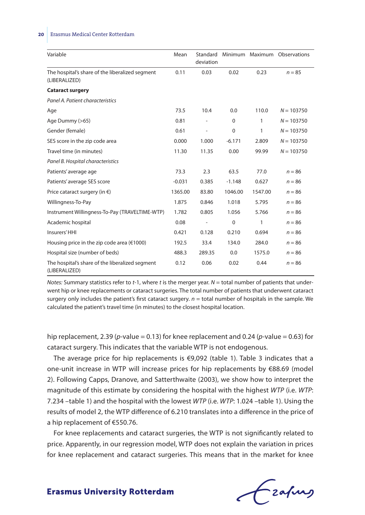#### **20** Erasmus Medical Center Rotterdam

| Variable                                                         | Mean     | Standard<br>deviation    |             |         | Minimum Maximum Observations |
|------------------------------------------------------------------|----------|--------------------------|-------------|---------|------------------------------|
| The hospital's share of the liberalized segment<br>(LIBERALIZED) | 0.11     | 0.03                     | 0.02        | 0.23    | $n = 85$                     |
| <b>Cataract surgery</b>                                          |          |                          |             |         |                              |
| Panel A. Patient characteristics                                 |          |                          |             |         |                              |
| Age                                                              | 73.5     | 10.4                     | 0.0         | 110.0   | $N = 103750$                 |
| Age Dummy (>65)                                                  | 0.81     |                          | $\Omega$    | 1       | $N = 103750$                 |
| Gender (female)                                                  | 0.61     | $\overline{\phantom{a}}$ | $\mathbf 0$ | 1       | $N = 103750$                 |
| SES score in the zip code area                                   | 0.000    | 1.000                    | $-6.171$    | 2.809   | $N = 103750$                 |
| Travel time (in minutes)                                         | 11.30    | 11.35                    | 0.00        | 99.99   | $N = 103750$                 |
| Panel B. Hospital characteristics                                |          |                          |             |         |                              |
| Patients' average age                                            | 73.3     | 2.3                      | 63.5        | 77.0    | $n = 86$                     |
| Patients' average SES score                                      | $-0.031$ | 0.385                    | $-1.148$    | 0.627   | $n = 86$                     |
| Price cataract surgery (in $\epsilon$ )                          | 1365.00  | 83.80                    | 1046.00     | 1547.00 | $n = 86$                     |
| Willingness-To-Pay                                               | 1.875    | 0.846                    | 1.018       | 5.795   | $n = 86$                     |
| Instrument Willingness-To-Pay (TRAVELTIME-WTP)                   | 1.782    | 0.805                    | 1.056       | 5.766   | $n = 86$                     |
| Academic hospital                                                | 0.08     |                          | $\mathbf 0$ | 1       | $n = 86$                     |
| Insurers' HHI                                                    | 0.421    | 0.128                    | 0.210       | 0.694   | $n = 86$                     |
| Housing price in the zip code area ( $€1000$ )                   | 192.5    | 33.4                     | 134.0       | 284.0   | $n = 86$                     |
| Hospital size (number of beds)                                   | 488.3    | 289.35                   | $0.0\,$     | 1575.0  | $n = 86$                     |
| The hospital's share of the liberalized segment<br>(LIBERALIZED) | 0.12     | 0.06                     | 0.02        | 0.44    | $n = 86$                     |

*Notes:* Summary statistics refer to *t*-1, where *t* is the merger year. *N* = total number of patients that underwent hip or knee replacements or cataract surgeries. The total number of patients that underwent cataract surgery only includes the patient's first cataract surgery.  $n =$  total number of hospitals in the sample. We calculated the patient's travel time (in minutes) to the closest hospital location.

hip replacement, 2.39 (*p*-value = 0.13) for knee replacement and 0.24 (*p*-value = 0.63) for cataract surgery. This indicates that the variable WTP is not endogenous.

The average price for hip replacements is  $\epsilon$ 9,092 (table 1). Table 3 indicates that a one-unit increase in WTP will increase prices for hip replacements by €88.69 (model 2). Following Capps, Dranove, and Satterthwaite (2003), we show how to interpret the magnitude of this estimate by considering the hospital with the highest *WTP* (i.e. *WTP*: 7.234 –table 1) and the hospital with the lowest *WTP* (i.e. *WTP*: 1.024 –table 1). Using the results of model 2, the WTP difference of 6.210 translates into a difference in the price of a hip replacement of €550.76.

For knee replacements and cataract surgeries, the WTP is not significantly related to price. Apparently, in our regression model, WTP does not explain the variation in prices for knee replacement and cataract surgeries. This means that in the market for knee

frafing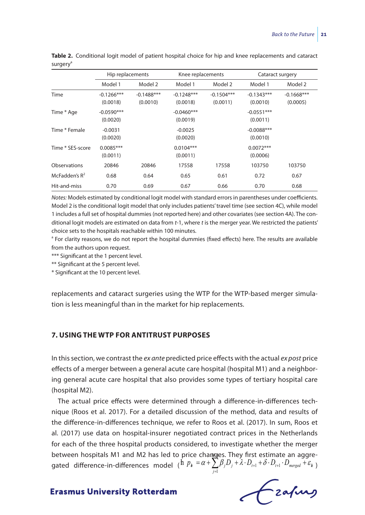|                  | Hip replacements         |                           | Knee replacements        |                          | Cataract surgery         |                          |
|------------------|--------------------------|---------------------------|--------------------------|--------------------------|--------------------------|--------------------------|
|                  | Model 1                  | Model 2                   | Model 1                  | Model 2                  | Model 1                  | Model 2                  |
| Time             | $-0.1266***$<br>(0.0018) | $-0.1488$ ***<br>(0.0010) | $-0.1248***$<br>(0.0018) | $-0.1504***$<br>(0.0011) | $-0.1343***$<br>(0.0010) | $-0.1668***$<br>(0.0005) |
| Time * Age       | $-0.0590***$<br>(0.0020) |                           | $-0.0460***$<br>(0.0019) |                          | $-0.0551***$<br>(0.0011) |                          |
| Time * Female    | $-0.0031$<br>(0.0020)    |                           | $-0.0025$<br>(0.0020)    |                          | $-0.0088***$<br>(0.0010) |                          |
| Time * SES-score | $0.0085***$<br>(0.0011)  |                           | $0.0104***$<br>(0.0011)  |                          | $0.0072***$<br>(0.0006)  |                          |
| Observations     | 20846                    | 20846                     | 17558                    | 17558                    | 103750                   | 103750                   |
| McFadden's $R^2$ | 0.68                     | 0.64                      | 0.65                     | 0.61                     | 0.72                     | 0.67                     |
| Hit-and-miss     | 0.70                     | 0.69                      | 0.67                     | 0.66                     | 0.70                     | 0.68                     |

**Table 2.** Conditional logit model of patient hospital choice for hip and knee replacements and cataract surgery<sup>a</sup>

*Notes:* Models estimated by conditional logit model with standard errors in parentheses under coefficients. Model 2 is the conditional logit model that only includes patients' travel time (see section 4C), while model 1 includes a full set of hospital dummies (not reported here) and other covariates (see section 4A). The conditional logit models are estimated on data from *t*-1, where *t* is the merger year. We restricted the patients' choice sets to the hospitals reachable within 100 minutes.

<sup>a</sup> For clarity reasons, we do not report the hospital dummies (fixed effects) here. The results are available from the authors upon request.

\*\*\* Significant at the 1 percent level.

\*\* Significant at the 5 percent level.

\* Significant at the 10 percent level.

replacements and cataract surgeries using the WTP for the WTP-based merger simulation is less meaningful than in the market for hip replacements.

#### **7. USING THE WTP FOR ANTITRUST PURPOSES**

In this section, we contrast the *ex ante* predicted price effects with the actual *ex post* price effects of a merger between a general acute care hospital (hospital M1) and a neighboring general acute care hospital that also provides some types of tertiary hospital care (hospital M2).

The actual price effects were determined through a difference-in-differences technique (Roos et al. 2017). For a detailed discussion of the method, data and results of the difference-in-differences technique, we refer to Roos et al. (2017). In sum, Roos et al. (2017) use data on hospital-insurer negotiated contract prices in the Netherlands for each of the three hospital products considered, to investigate whether the merger between hospitals M1 and M2 has led to price changes. They first estimate an aggregated difference-in-differences model ( ${}^{\dagger}P_{k} = \alpha + \sum_{j=1}^n \beta_j D_j + \lambda \cdot D_{_{l+1}} + \delta \cdot D_{_{l+1}} \cdot D_{_{merged}} + \varepsilon_{_{k}}$ )

Lzafurs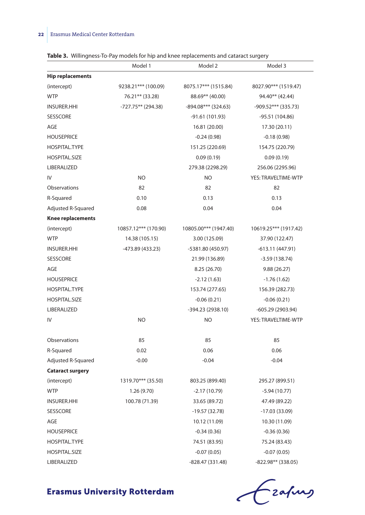|                          | Model 1              | Model 2               | Model 3               |
|--------------------------|----------------------|-----------------------|-----------------------|
| <b>Hip replacements</b>  |                      |                       |                       |
| (intercept)              | 9238.21*** (100.09)  | 8075.17*** (1515.84)  | 8027.90*** (1519.47)  |
| <b>WTP</b>               | 76.21** (33.28)      | 88.69** (40.00)       | 94.40** (42.44)       |
| <b>INSURER.HHI</b>       | $-727.75**$ (294.38) | -894.08*** (324.63)   | $-909.52***$ (335.73) |
| SESSCORE                 |                      | -91.61 (101.93)       | -95.51 (104.86)       |
| AGE                      |                      | 16.81 (20.00)         | 17.30 (20.11)         |
| <b>HOUSEPRICE</b>        |                      | $-0.24(0.98)$         | $-0.18(0.98)$         |
| HOSPITAL.TYPE            |                      | 151.25 (220.69)       | 154.75 (220.79)       |
| <b>HOSPITAL.SIZE</b>     |                      | 0.09(0.19)            | 0.09(0.19)            |
| LIBERALIZED              |                      | 279.38 (2298.29)      | 256.06 (2295.96)      |
| IV                       | <b>NO</b>            | NO.                   | YES: TRAVELTIME-WTP   |
| Observations             | 82                   | 82                    | 82                    |
| R-Squared                | 0.10                 | 0.13                  | 0.13                  |
| Adjusted R-Squared       | 0.08                 | 0.04                  | 0.04                  |
| <b>Knee replacements</b> |                      |                       |                       |
| (intercept)              | 10857.12*** (170.90) | 10805.00*** (1947.40) | 10619.25*** (1917.42) |
| <b>WTP</b>               | 14.38 (105.15)       | 3.00 (125.09)         | 37.90 (122.47)        |
| <b>INSURER.HHI</b>       | -473.89 (433.23)     | -5381.80 (450.97)     | -613.11 (447.91)      |
| <b>SESSCORE</b>          |                      | 21.99 (136.89)        | $-3.59(138.74)$       |
| AGE                      |                      | 8.25 (26.70)          | 9.88(26.27)           |
| <b>HOUSEPRICE</b>        |                      | $-2.12(1.63)$         | $-1.76(1.62)$         |
| HOSPITAL.TYPE            |                      | 153.74 (277.65)       | 156.39 (282.73)       |
| HOSPITAL.SIZE            |                      | $-0.06(0.21)$         | $-0.06(0.21)$         |
| LIBERALIZED              |                      | -394.23 (2938.10)     | -605.29 (2903.94)     |
| IV                       | <b>NO</b>            | NO                    | YES: TRAVELTIME-WTP   |
| Observations             | 85                   | 85                    | 85                    |
| R-Squared                | 0.02                 | 0.06                  | 0.06                  |
| Adjusted R-Squared       | $-0.00$              | $-0.04$               | $-0.04$               |
| <b>Cataract surgery</b>  |                      |                       |                       |
| (intercept)              | 1319.70*** (35.50)   | 803.25 (899.40)       | 295.27 (899.51)       |
| <b>WTP</b>               | 1.26(9.70)           | $-2.17(10.79)$        | $-5.94(10.77)$        |
| <b>INSURER.HHI</b>       | 100.78 (71.39)       | 33.65 (89.72)         | 47.49 (89.22)         |
| <b>SESSCORE</b>          |                      | $-19.57(32.78)$       | $-17.03(33.09)$       |
| AGE                      |                      | 10.12 (11.09)         | 10.30 (11.09)         |
| <b>HOUSEPRICE</b>        |                      | $-0.34(0.36)$         | $-0.36(0.36)$         |
| HOSPITAL.TYPE            |                      | 74.51 (83.95)         | 75.24 (83.43)         |
| <b>HOSPITAL.SIZE</b>     |                      | $-0.07(0.05)$         | $-0.07(0.05)$         |
| LIBERALIZED              |                      | -828.47 (331.48)      | -822.98** (338.05)    |

**Table 3.** Willingness-To-Pay models for hip and knee replacements and cataract surgery

Crafing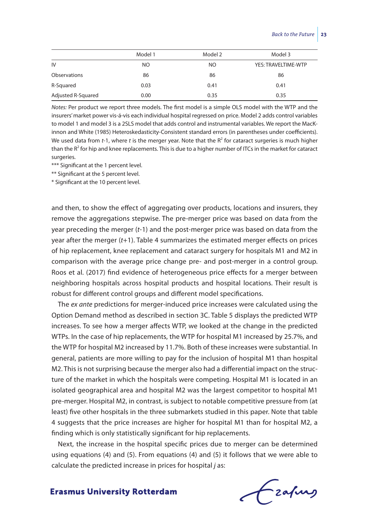|                    | Model 1 | Model 2 | Model 3             |
|--------------------|---------|---------|---------------------|
| IV                 | NO.     | NO.     | YES: TRAVELTIME-WTP |
| Observations       | 86      | 86      | 86                  |
| R-Squared          | 0.03    | 0.41    | 0.41                |
| Adjusted R-Squared | 0.00    | 0.35    | 0.35                |

*Notes:* Per product we report three models. The first model is a simple OLS model with the WTP and the insurers' market power vis-á-vis each individual hospital regressed on price. Model 2 adds control variables to model 1 and model 3 is a 2SLS model that adds control and instrumental variables. We report the MacKinnon and White (1985) Heteroskedasticity-Consistent standard errors (in parentheses under coefficients). We used data from *t*-1, where *t* is the merger year. Note that the R<sup>2</sup> for cataract surgeries is much higher than the  $R^2$  for hip and knee replacements. This is due to a higher number of ITCs in the market for cataract surgeries.

\*\*\* Significant at the 1 percent level.

\*\* Significant at the 5 percent level.

\* Significant at the 10 percent level.

and then, to show the effect of aggregating over products, locations and insurers, they remove the aggregations stepwise. The pre-merger price was based on data from the year preceding the merger (*t*-1) and the post-merger price was based on data from the year after the merger (*t*+1). Table 4 summarizes the estimated merger effects on prices of hip replacement, knee replacement and cataract surgery for hospitals M1 and M2 in comparison with the average price change pre- and post-merger in a control group. Roos et al. (2017) find evidence of heterogeneous price effects for a merger between neighboring hospitals across hospital products and hospital locations. Their result is robust for different control groups and different model specifications.

The *ex ante* predictions for merger-induced price increases were calculated using the Option Demand method as described in section 3C. Table 5 displays the predicted WTP increases. To see how a merger affects WTP, we looked at the change in the predicted WTPs. In the case of hip replacements, the WTP for hospital M1 increased by 25.7%, and the WTP for hospital M2 increased by 11.7%. Both of these increases were substantial. In general, patients are more willing to pay for the inclusion of hospital M1 than hospital M2. This is not surprising because the merger also had a differential impact on the structure of the market in which the hospitals were competing. Hospital M1 is located in an isolated geographical area and hospital M2 was the largest competitor to hospital M1 pre-merger. Hospital M2, in contrast, is subject to notable competitive pressure from (at least) five other hospitals in the three submarkets studied in this paper. Note that table 4 suggests that the price increases are higher for hospital M1 than for hospital M2, a finding which is only statistically significant for hip replacements.

Next, the increase in the hospital specific prices due to merger can be determined using equations (4) and (5). From equations (4) and (5) it follows that we were able to calculate the predicted increase in prices for hospital *j* as:

frafing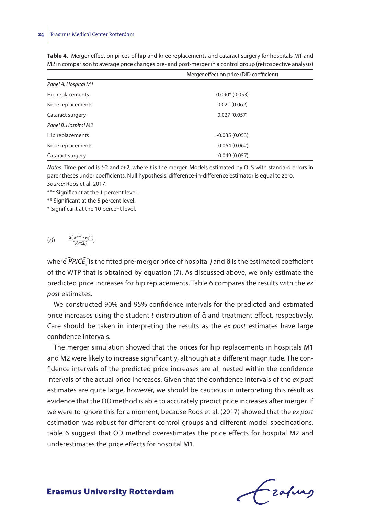|                      | Merger effect on price (DiD coefficient) |
|----------------------|------------------------------------------|
| Panel A. Hospital M1 |                                          |
| Hip replacements     | $0.090*(0.053)$                          |
| Knee replacements    | 0.021(0.062)                             |
| Cataract surgery     | 0.027(0.057)                             |
| Panel B. Hospital M2 |                                          |
| Hip replacements     | $-0.035(0.053)$                          |
| Knee replacements    | $-0.064(0.062)$                          |
| Cataract surgery     | $-0.049(0.057)$                          |

**Table 4.** Merger effect on prices of hip and knee replacements and cataract surgery for hospitals M1 and M2 in comparison to average price changes pre- and post-merger in a control group (retrospective analysis)

*Notes:* Time period is *t*-2 and *t*+2, where *t* is the merger. Models estimated by OLS with standard errors in parentheses under coefficients. Null hypothesis: difference-in-difference estimator is equal to zero. *Source:* Roos et al. 2017.

\*\*\* Significant at the 1 percent level.

\*\* Significant at the 5 percent level.

\* Significant at the 10 percent level.

(8)  $\frac{\hat{a}(w_j^{post} - w_j^{pre})}{PRICF}$ Example 1 at the contract of the same  $\frac{\widehat{a}(w_i^{post} - w_i^{pre})}{PRICE_j}$  $\stackrel{v_j}{\cdot}$ ,

where  $\widehat{PRICE}$  *j* is the fitted pre-merger price of hospital *j* and  $\widehat{\alpha}$  is the estimated coefficient of the WTP that is obtained by equation (7). As discussed above, we only estimate the predicted price increases for hip replacements. Table 6 compares the results with the *ex post* estimates.

We constructed 90% and 95% confidence intervals for the predicted and estimated price increases using the student *t* distribution of  $\hat{a}$  and treatment effect, respectively. Care should be taken in interpreting the results as the *ex post* estimates have large confidence intervals.

The merger simulation showed that the prices for hip replacements in hospitals M1 and M2 were likely to increase significantly, although at a different magnitude. The confidence intervals of the predicted price increases are all nested within the confidence intervals of the actual price increases. Given that the confidence intervals of the *ex post* estimates are quite large, however, we should be cautious in interpreting this result as evidence that the OD method is able to accurately predict price increases after merger. If we were to ignore this for a moment, because Roos et al. (2017) showed that the *ex post* estimation was robust for different control groups and different model specifications, table 6 suggest that OD method overestimates the price effects for hospital M2 and underestimates the price effects for hospital M1.

frafing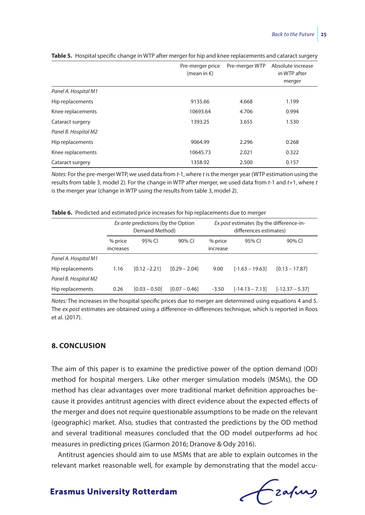|                      | Pre-merger price<br>(mean in $\epsilon$ ) | Pre-merger WTP | Absolute increase<br>in WTP after<br>merger |
|----------------------|-------------------------------------------|----------------|---------------------------------------------|
| Panel A. Hospital M1 |                                           |                |                                             |
| Hip replacements     | 9135.66                                   | 4.668          | 1.199                                       |
| Knee replacements    | 10693.64                                  | 4.706          | 0.994                                       |
| Cataract surgery     | 1393.25                                   | 3.655          | 1.530                                       |
| Panel B. Hospital M2 |                                           |                |                                             |
| Hip replacements     | 9064.99                                   | 2.296          | 0.268                                       |
| Knee replacements    | 10645.73                                  | 2.021          | 0.322                                       |
| Cataract surgery     | 1358.92                                   | 2.500          | 0.157                                       |

**Table 5.** Hospital specific change in WTP after merger for hip and knee replacements and cataract surgery

*Notes:* For the pre-merger WTP, we used data from *t*-1, where *t* is the merger year (WTP estimation using the results from table 3, model 2). For the change in WTP after merger, we used data from *t*-1 and *t*+1, where *t* is the merger year (change in WTP using the results from table 3, model 2).

|  |  |  |  |  | Table 6. Predicted and estimated price increases for hip replacements due to merger |
|--|--|--|--|--|-------------------------------------------------------------------------------------|
|--|--|--|--|--|-------------------------------------------------------------------------------------|

|                      | Ex ante predictions (by the Option<br>Demand Method) |                 |                 | Ex post estimates (by the difference-in-<br>differences estimates) |                   |                   |
|----------------------|------------------------------------------------------|-----------------|-----------------|--------------------------------------------------------------------|-------------------|-------------------|
|                      | % price<br>increases                                 | 95% CI          | 90% CI          | % price<br>increase                                                | 95% CI            | 90% CI            |
| Panel A. Hospital M1 |                                                      |                 |                 |                                                                    |                   |                   |
| Hip replacements     | 1.16                                                 | $[0.12 - 2.21]$ | $[0.29 - 2.04]$ | 9.00                                                               | $[-1.63 - 19.63]$ | $[0.13 - 17.87]$  |
| Panel B. Hospital M2 |                                                      |                 |                 |                                                                    |                   |                   |
| Hip replacements     | 0.26                                                 | $[0.03 - 0.50]$ | $[0.07 - 0.46]$ | $-3.50$                                                            | $[-14.13 - 7.13]$ | $[-12.37 - 5.37]$ |

*Notes:* The increases in the hospital specific prices due to merger are determined using equations 4 and 5. The *ex post* estimates are obtained using a difference-in-differences technique, which is reported in Roos et al. (2017).

## **8. CONCLUSION**

The aim of this paper is to examine the predictive power of the option demand (OD) method for hospital mergers. Like other merger simulation models (MSMs), the OD method has clear advantages over more traditional market definition approaches because it provides antitrust agencies with direct evidence about the expected effects of the merger and does not require questionable assumptions to be made on the relevant (geographic) market. Also, studies that contrasted the predictions by the OD method and several traditional measures concluded that the OD model outperforms ad hoc measures in predicting prices (Garmon 2016; Dranove & Ody 2016).

Antitrust agencies should aim to use MSMs that are able to explain outcomes in the relevant market reasonable well, for example by demonstrating that the model accu-

Czafing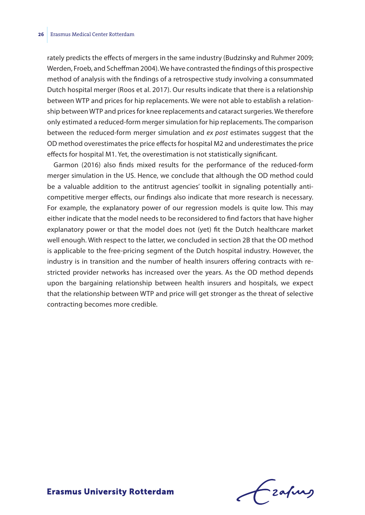rately predicts the effects of mergers in the same industry (Budzinsky and Ruhmer 2009; Werden, Froeb, and Scheffman 2004). We have contrasted the findings of this prospective method of analysis with the findings of a retrospective study involving a consummated Dutch hospital merger (Roos et al. 2017). Our results indicate that there is a relationship between WTP and prices for hip replacements. We were not able to establish a relationship between WTP and prices for knee replacements and cataract surgeries. We therefore only estimated a reduced-form merger simulation for hip replacements. The comparison between the reduced-form merger simulation and *ex post* estimates suggest that the OD method overestimates the price effects for hospital M2 and underestimates the price effects for hospital M1. Yet, the overestimation is not statistically significant.

Garmon (2016) also finds mixed results for the performance of the reduced-form merger simulation in the US. Hence, we conclude that although the OD method could be a valuable addition to the antitrust agencies' toolkit in signaling potentially anticompetitive merger effects, our findings also indicate that more research is necessary. For example, the explanatory power of our regression models is quite low. This may either indicate that the model needs to be reconsidered to find factors that have higher explanatory power or that the model does not (yet) fit the Dutch healthcare market well enough. With respect to the latter, we concluded in section 2B that the OD method is applicable to the free-pricing segment of the Dutch hospital industry. However, the industry is in transition and the number of health insurers offering contracts with restricted provider networks has increased over the years. As the OD method depends upon the bargaining relationship between health insurers and hospitals, we expect that the relationship between WTP and price will get stronger as the threat of selective contracting becomes more credible.

frafing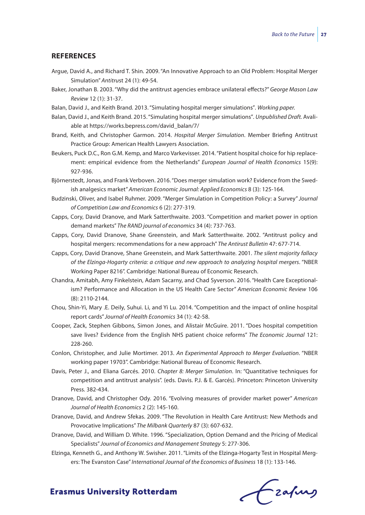#### **REFERENCES**

- Argue, David A., and Richard T. Shin. 2009. "An Innovative Approach to an Old Problem: Hospital Merger Simulation" *Antitru*st 24 (1): 49-54.
- Baker, Jonathan B. 2003. "Why did the antitrust agencies embrace unilateral effects?" *George Mason Law Review* 12 (1): 31-37.
- Balan, David J., and Keith Brand. 2013. "Simulating hospital merger simulations"*. Working paper.*
- Balan, David J., and Keith Brand. 2015. "Simulating hospital merger simulations"*. Unpublished Draft.* Avaliable at https://works.bepress.com/david\_balan/7/
- Brand, Keith, and Christopher Garmon. 2014. *Hospital Merger Simulation*. Member Briefing Antitrust Practice Group: American Health Lawyers Association.
- Beukers, Puck D.C., Ron G.M. Kemp, and Marco Varkevisser. 2014. "Patient hospital choice for hip replacement: empirical evidence from the Netherlands" *European Journal of Health Economics* 15(9): 927-936.
- Björnerstedt, Jonas, and Frank Verboven. 2016. "Does merger simulation work? Evidence from the Swedish analgesics market" *American Economic Journal: Applied Economics* 8 (3): 125-164.
- Budzinski, Oliver, and Isabel Ruhmer. 2009. "Merger Simulation in Competition Policy: a Survey" *Journal of Competition Law and Economics* 6 (2): 277-319.
- Capps, Cory, David Dranove, and Mark Satterthwaite. 2003. "Competition and market power in option demand markets" *The RAND journal of economics* 34 (4): 737-763.
- Capps, Cory, David Dranove, Shane Greenstein, and Mark Satterthwaite. 2002. "Antitrust policy and hospital mergers: recommendations for a new approach" *The Antirust Bulletin* 47: 677-714.
- Capps, Cory, David Dranove, Shane Greenstein, and Mark Satterthwaite. 2001. *The silent majority fallacy of the Elzinga-Hogarty criteria: a critique and new approach to analyzing hospital mergers*. "NBER Working Paper 8216". Cambridge: National Bureau of Economic Research.
- Chandra, Amitabh, Amy Finkelstein, Adam Sacarny, and Chad Syverson. 2016. "Health Care Exceptionalism? Performance and Allocation in the US Health Care Sector" *American Economic Review* 106 (8): 2110-2144.
- Chou, Shin-Yi, Mary .E. Deily, Suhui. Li, and Yi Lu. 2014. "Competition and the impact of online hospital report cards" *Journal of Health Economics* 34 (1): 42-58.
- Cooper, Zack, Stephen Gibbons, Simon Jones, and Alistair McGuire. 2011. "Does hospital competition save lives? Evidence from the English NHS patient choice reforms" *The Economic Journal* 121: 228-260.
- Conlon, Christopher, and Julie Mortimer. 2013. *An Experimental Approach to Merger Evaluation*. "NBER working paper 19703". Cambridge: National Bureau of Economic Research.
- Davis, Peter J., and Eliana Garcés. 2010. *Chapter 8: Merger Simulation*. In: "Quantitative techniques for competition and antitrust analysis". (eds. Davis. P.J. & E. Garcés). Princeton: Princeton University Press. 382-434.
- Dranove, David, and Christopher Ody. 2016. "Evolving measures of provider market power" *American Journal of Health Economics* 2 (2): 145-160.
- Dranove, David, and Andrew Sfekas. 2009. "The Revolution in Health Care Antitrust: New Methods and Provocative Implications" *The Milbank Quarterly* 87 (3): 607-632.
- Dranove, David, and William D. White. 1996. "Specialization, Option Demand and the Pricing of Medical Specialists" *Journal of Economics and Management Strategy* 5: 277-306.
- Elzinga, Kenneth G., and Anthony W. Swisher. 2011. "Limits of the Elzinga-Hogarty Test in Hospital Mergers: The Evanston Case" *International Journal of the Economics of Business* 18 (1): 133-146.

Czafing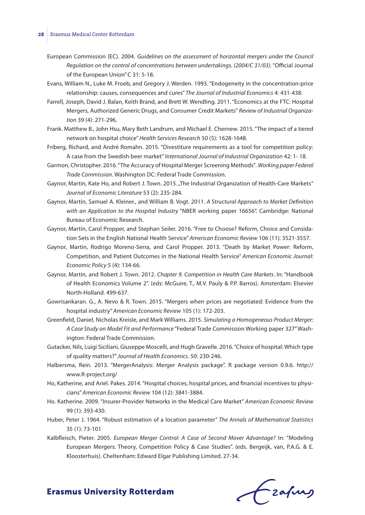#### **28** Erasmus Medical Center Rotterdam

- European Commission (EC). 2004. *Guidelines on the assessment of horizontal mergers under the Council Regulation on the control of concentrations between undertakings. (2004/C 31/03).* "Official Journal of the European Union" C 31: 5-18.
- Evans, William N., Luke M. Froeb, and Gregory J. Werden. 1993. "Endogeneity in the concentration-price relationship: causes, consequences and cures" *The Journal of Industrial Economics* 4: 431-438.
- Farrell, Joseph, David J. Balan, Keith Brand, and Brett W. Wendling. 2011. "Economics at the FTC: Hospital Mergers, Authorized Generic Drugs, and Consumer Credit Markets" *Review of Industrial Organization* 39 (4): 271-296.
- Frank. Matthew B., John Hsu, Mary Beth Landrum, and Michael E. Chernew. 2015. "The impact of a tiered network on hospital choice" *Health Services Research* 50 (5): 1628-1648.
- Friberg, Richard, and André Romahn. 2015. "Divestiture requirements as a tool for competition policy: A case from the Swedish beer market" *International Journal of Industrial Organization* 42: 1- 18.
- Garmon, Christopher. 2016. "The Accuracy of Hospital Merger Screening Methods"*. Working paper Federal Trade Commission*. Washington DC: Federal Trade Commission.
- Gaynor, Martin, Kate Ho, and Robert J. Town. 2015. "The Industrial Organization of Health-Care Markets" *Journal of Economic Literature* 53 (2): 235-284.
- Gaynor, Martin, Samuel A. Kleiner., and William B. Vogt. 2011. *A Structural Approach to Market Definition with an Application to the Hospital Industry* "NBER working paper 16656". Cambridge: National Bureau of Economic Research.
- Gaynor, Martin, Carol Propper, and Stephan Seiler. 2016. "Free to Choose? Reform, Choice and Considation Sets in the English National Health Service" *American Economic Review* 106 (11): 3521-3557.
- Gaynor, Martin, Rodrigo Moreno-Serra, and Carol Propper. 2013. "Death by Market Power: Reform, Competition, and Patient Outcomes in the National Health Service" *American Economic Journal: Economic Policy* 5 (4): 134-66.
- Gaynor, Martin, and Robert J. Town. 2012. *Chapter 9. Competition in Health Care Markets*. In: "Handbook of Health Economics Volume 2". (eds: McGuire, T., M.V. Pauly & P.P. Barros). Amsterdam: Elsevier North-Holland. 499-637.
- Gowrisankaran. G., A. Nevo & R. Town. 2015. "Mergers when prices are negotiated: Evidence from the hospital industry" *American Economic Review* 105 (1): 172-203.
- Greenfield, Daniel, Nicholas Kreisle, and Mark Williams. 2015. *Simulating a Homogeneous Product Merger: A Case Study on Model Fit and Performance* "Federal Trade Commission Working paper 327" Washington: Federal Trade Commission.
- Gutacker, Nils, Luigi Siciliani, Giuseppe Moscelli, and Hugh Gravelle. 2016. "Choice of hospital: Which type of quality matters?" *Journal of Health Economics.* 50: 230-246.
- Halbersma, Rein. 2013. "MergerAnalysis: Merger Analysis package". R package version 0.9.6. http:// www.R-project.org/
- Ho, Katherine, and Ariel. Pakes. 2014. "Hospital choices, hospital prices, and financial incentives to physicians" *American Economic Review* 104 (12): 3841-3884.
- Ho. Katherine. 2009. "Insurer-Provider Networks in the Medical Care Market" *American Economic Review* 99 (1): 393-430.
- Huber, Peter J. 1964. "Robust estimation of a location parameter" *The Annals of Mathematical Statistics* 35 (1): 73-101
- Kalbfleisch, Pieter. 2005. *European Merger Control: A Case of Second Mover Advantage?* In: "Modeling European Mergers: Theory, Competition Policy & Case Studies". (eds. Bergeijk, van, P.A.G. & E. Kloosterhuis). Cheltenham: Edward Elgar Publishing Limited. 27-34.

Czafing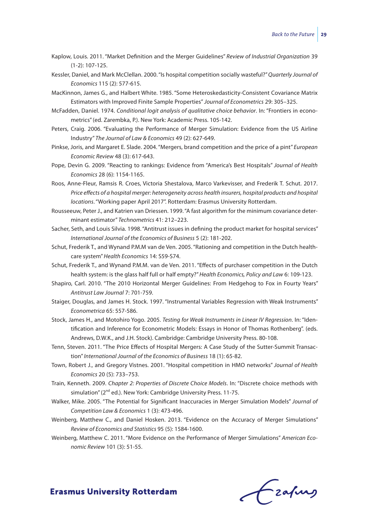- Kaplow, Louis. 2011. "Market Definition and the Merger Guidelines" *Review of Industrial Organization* 39 (1-2): 107-125.
- Kessler, Daniel, and Mark McClellan. 2000. "Is hospital competition socially wasteful?" *Quarterly Journal of Economics* 115 (2): 577-615.
- MacKinnon, James G., and Halbert White. 1985. "Some Heteroskedasticity-Consistent Covariance Matrix Estimators with Improved Finite Sample Properties" *Journal of Econometrics* 29: 305–325.
- McFadden, Daniel. 1974. *Conditional logit analysis of qualitative choice behavior*. In: "Frontiers in econometrics" (ed. Zarembka, P.). New York: Academic Press. 105-142.
- Peters, Craig. 2006. "Evaluating the Performance of Merger Simulation: Evidence from the US Airline Industry" *The Journal of Law & Economics* 49 (2): 627-649.
- Pinkse, Joris, and Margaret E. Slade. 2004. "Mergers, brand competition and the price of a pint" *European Economic Review* 48 (3): 617-643.
- Pope, Devin G. 2009. "Reacting to rankings: Evidence from "America's Best Hospitals" *Journal of Health Economics* 28 (6): 1154-1165.
- Roos, Anne-Fleur, Ramsis R. Croes, Victoria Shestalova, Marco Varkevisser, and Frederik T. Schut. 2017. *Price effects of a hospital merger: heterogeneity across health insurers, hospital products and hospital locations*. "Working paper April 2017". Rotterdam: Erasmus University Rotterdam.
- Rousseeuw, Peter J., and Katrien van Driessen. 1999. "A fast algorithm for the minimum covariance determinant estimator" *Technometrics* 41: 212–223.
- Sacher, Seth, and Louis Silvia. 1998. "Antitrust issues in defining the product market for hospital services" *International Journal of the Economics of Business* 5 (2): 181-202.
- Schut, Frederik T., and Wynand P.M.M van de Ven. 2005. "Rationing and competition in the Dutch healthcare system" *Health Economics* 14: S59-S74.
- Schut, Frederik T., and Wynand P.M.M. van de Ven. 2011. "Effects of purchaser competition in the Dutch health system: is the glass half full or half empty?" *Health Economics, Policy and Law* 6: 109-123.
- Shapiro, Carl. 2010. "The 2010 Horizontal Merger Guidelines: From Hedgehog to Fox in Fourty Years" *Antitrust Law Journal* 7: 701-759.
- Staiger, Douglas, and James H. Stock. 1997. "Instrumental Variables Regression with Weak Instruments" *Econometrica* 65: 557-586.
- Stock, James H., and Motohiro Yogo. 2005. *Testing for Weak Instruments in Linear IV Regression*. In: "Identification and Inference for Econometric Models: Essays in Honor of Thomas Rothenberg". (eds. Andrews, D.W.K., and J.H. Stock). Cambridge: Cambridge University Press. 80-108.
- Tenn, Steven. 2011. "The Price Effects of Hospital Mergers: A Case Study of the Sutter-Summit Transaction" *International Journal of the Economics of Business* 18 (1): 65-82.
- Town, Robert J., and Gregory Vistnes. 2001. "Hospital competition in HMO networks" *Journal of Health Economics* 20 (5): 733–753.
- Train, Kenneth. 2009. *Chapter 2: Properties of Discrete Choice Models*. In: "Discrete choice methods with simulation" (2<sup>nd</sup> ed.). New York: Cambridge University Press. 11-75.
- Walker, Mike. 2005. "The Potential for Significant Inaccuracies in Merger Simulation Models" *Journal of Competition Law & Economics* 1 (3): 473-496.
- Weinberg, Matthew C., and Daniel Hosken. 2013. "Evidence on the Accuracy of Merger Simulations" *Review of Economics and Statistics* 95 (5): 1584-1600.
- Weinberg, Matthew C. 2011. "More Evidence on the Performance of Merger Simulations" *American Economic Review* 101 (3): 51-55.

Czafing